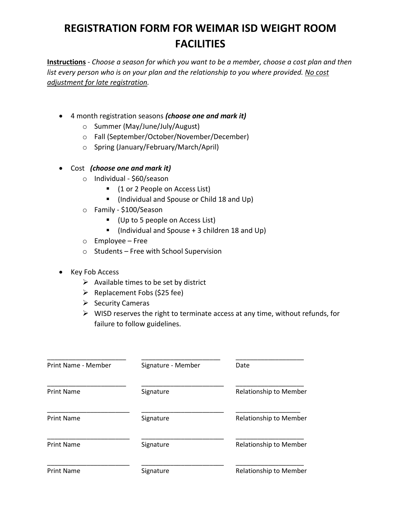## **REGISTRATION FORM FOR WEIMAR ISD WEIGHT ROOM FACILITIES**

**Instructions** - *Choose a season for which you want to be a member, choose a cost plan and then list every person who is on your plan and the relationship to you where provided. No cost adjustment for late registration.*

- 4 month registration seasons *(choose one and mark it)*
	- o Summer (May/June/July/August)
	- o Fall (September/October/November/December)
	- o Spring (January/February/March/April)
- Cost *(choose one and mark it)*
	- o Individual \$60/season
		- (1 or 2 People on Access List)
		- (Individual and Spouse or Child 18 and Up)
	- o Family \$100/Season
		- (Up to 5 people on Access List)
		- $\blacksquare$  (Individual and Spouse + 3 children 18 and Up)
	- o Employee Free
	- o Students Free with School Supervision
- Key Fob Access
	- $\triangleright$  Available times to be set by district
	- $\triangleright$  Replacement Fobs (\$25 fee)
	- $\triangleright$  Security Cameras
	- $\triangleright$  WISD reserves the right to terminate access at any time, without refunds, for failure to follow guidelines.

| Print Name - Member | Signature - Member | Date                          |
|---------------------|--------------------|-------------------------------|
| <b>Print Name</b>   | Signature          | <b>Relationship to Member</b> |
| <b>Print Name</b>   | Signature          | Relationship to Member        |
| <b>Print Name</b>   | Signature          | <b>Relationship to Member</b> |
| <b>Print Name</b>   | Signature          | <b>Relationship to Member</b> |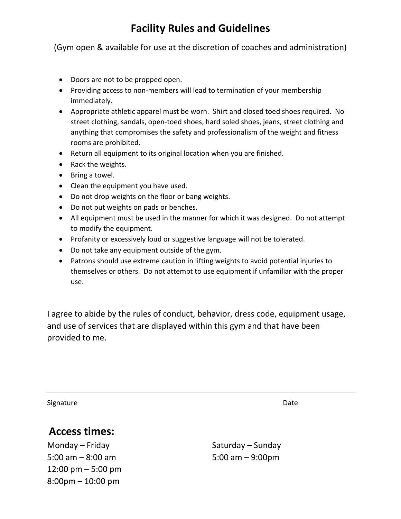## **Facility Rules and Guidelines**

(Gym open & available for use at the discretion of coaches and administration)

- Doors are not to be propped open.
- Providing access to non-members will lead to termination of your membership immediately.
- Appropriate athletic apparel must be worn. Shirt and closed toed shoes required. No street clothing, sandals, open-toed shoes, hard soled shoes, jeans, street clothing and anything that compromises the safety and professionalism of the weight and fitness rooms are prohibited.
- Return all equipment to its original location when you are finished.
- Rack the weights.
- Bring a towel.
- Clean the equipment you have used.
- Do not drop weights on the floor or bang weights.
- Do not put weights on pads or benches.
- All equipment must be used in the manner for which it was designed. Do not attempt to modify the equipment.
- Profanity or excessively loud or suggestive language will not be tolerated.
- Do not take any equipment outside of the gym.
- Patrons should use extreme caution in lifting weights to avoid potential injuries to themselves or others. Do not attempt to use equipment if unfamiliar with the proper use.

I agree to abide by the rules of conduct, behavior, dress code, equipment usage, and use of services that are displayed within this gym and that have been provided to me.

Signature Date

## **Access times:**

Monday – Friday Saturday – Sunday 5:00 am – 8:00 am 5:00 am – 9:00pm 12:00 pm – 5:00 pm 8:00pm – 10:00 pm